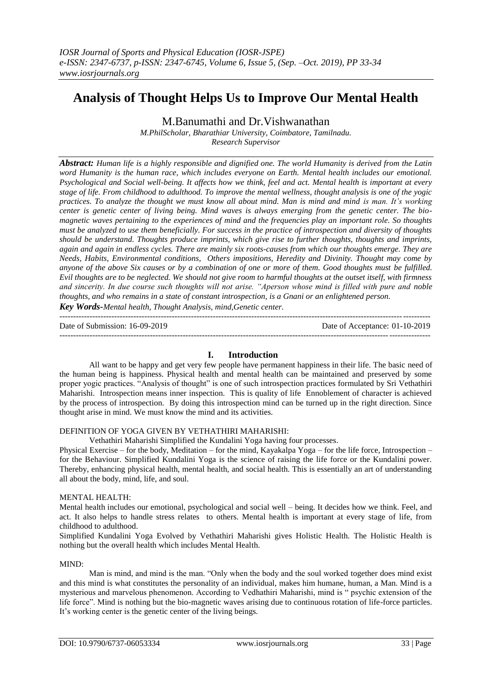# **Analysis of Thought Helps Us to Improve Our Mental Health**

M.Banumathi and Dr.Vishwanathan

*M.PhilScholar, Bharathiar University, Coimbatore, Tamilnadu. Research Supervisor*

*Abstract: Human life is a highly responsible and dignified one. The world Humanity is derived from the Latin word Humanity is the human race, which includes everyone on Earth. Mental health includes our emotional. Psychological and Social well-being. It affects how we think, feel and act. Mental health is important at every stage of life. From childhood to adulthood. To improve the mental wellness, thought analysis is one of the yogic practices. To analyze the thought we must know all about mind. Man is mind and mind is man. It's working center is genetic center of living being. Mind waves is always emerging from the genetic center. The biomagnetic waves pertaining to the experiences of mind and the frequencies play an important role. So thoughts must be analyzed to use them beneficially. For success in the practice of introspection and diversity of thoughts should be understand. Thoughts produce imprints, which give rise to further thoughts, thoughts and imprints, again and again in endless cycles. There are mainly six roots-causes from which our thoughts emerge. They are Needs, Habits, Environmental conditions, Others impositions, Heredity and Divinity. Thought may come by anyone of the above Six causes or by a combination of one or more of them. Good thoughts must be fulfilled. Evil thoughts are to be neglected. We should not give room to harmful thoughts at the outset itself, with firmness and sincerity. In due course such thoughts will not arise. "Aperson whose mind is filled with pure and noble thoughts, and who remains in a state of constant introspection, is a Gnani or an enlightened person.*

*Key Words-Mental health, Thought Analysis, mind,Genetic center.*

 $-1\leq i\leq n-1\leq n-1\leq n-1\leq n-1\leq n-1\leq n-1\leq n-1\leq n-1\leq n-1\leq n-1\leq n-1\leq n-1\leq n-1\leq n-1\leq n-1\leq n-1\leq n-1\leq n-1\leq n-1\leq n-1\leq n-1\leq n-1\leq n-1\leq n-1\leq n-1\leq n-1\leq n-1\leq n-1\leq n-1\leq n-1\leq n-1\leq n-1\leq n-1\leq n-1\leq n-1\leq n$ Date of Submission: 16-09-2019 Date of Acceptance: 01-10-2019

---------------------------------------------------------------------------------------------------------------------------------------

# **I. Introduction**

All want to be happy and get very few people have permanent happiness in their life. The basic need of the human being is happiness. Physical health and mental health can be maintained and preserved by some proper yogic practices. "Analysis of thought" is one of such introspection practices formulated by Sri Vethathiri Maharishi. Introspection means inner inspection. This is quality of life Ennoblement of character is achieved by the process of introspection. By doing this introspection mind can be turned up in the right direction. Since thought arise in mind. We must know the mind and its activities.

# DEFINITION OF YOGA GIVEN BY VETHATHIRI MAHARISHI:

Vethathiri Maharishi Simplified the Kundalini Yoga having four processes.

Physical Exercise – for the body, Meditation – for the mind, Kayakalpa Yoga – for the life force, Introspection – for the Behaviour. Simplified Kundalini Yoga is the science of raising the life force or the Kundalini power. Thereby, enhancing physical health, mental health, and social health. This is essentially an art of understanding all about the body, mind, life, and soul.

# MENTAL HEALTH:

Mental health includes our emotional, psychological and social well – being. It decides how we think. Feel, and act. It also helps to handle stress relates to others. Mental health is important at every stage of life, from childhood to adulthood.

Simplified Kundalini Yoga Evolved by Vethathiri Maharishi gives Holistic Health. The Holistic Health is nothing but the overall health which includes Mental Health.

## MIND:

Man is mind, and mind is the man. "Only when the body and the soul worked together does mind exist and this mind is what constitutes the personality of an individual, makes him humane, human, a Man. Mind is a mysterious and marvelous phenomenon. According to Vedhathiri Maharishi, mind is " psychic extension of the life force". Mind is nothing but the bio-magnetic waves arising due to continuous rotation of life-force particles. It's working center is the genetic center of the living beings.